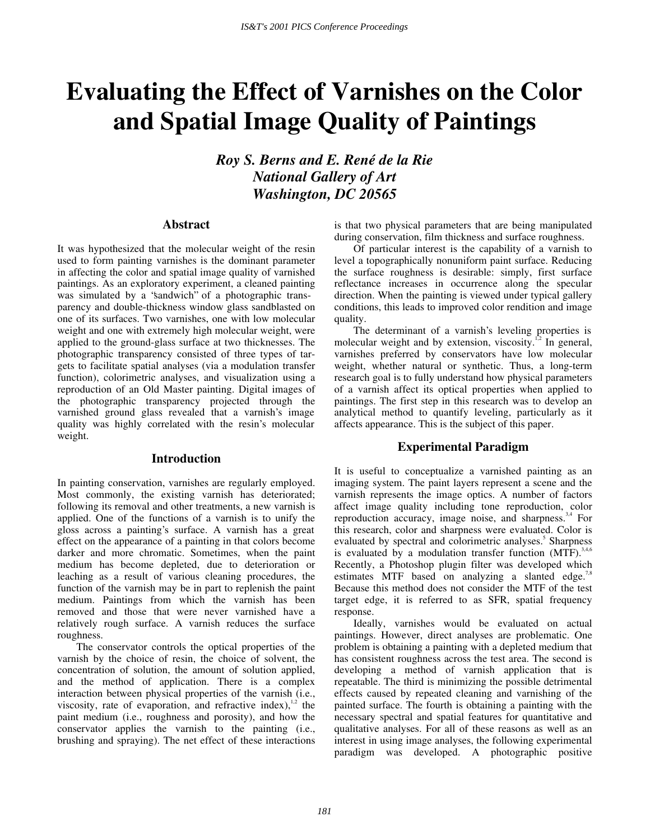# **Evaluating the Effect of Varnishes on the Color and Spatial Image Quality of Paintings**

*Roy S. Berns and E. René de la Rie National Gallery of Art Washington, DC 20565* 

# **Abstract**

It was hypothesized that the molecular weight of the resin used to form painting varnishes is the dominant parameter in affecting the color and spatial image quality of varnished paintings. As an exploratory experiment, a cleaned painting was simulated by a "sandwich" of a photographic transparency and double-thickness window glass sandblasted on one of its surfaces. Two varnishes, one with low molecular weight and one with extremely high molecular weight, were applied to the ground-glass surface at two thicknesses. The photographic transparency consisted of three types of targets to facilitate spatial analyses (via a modulation transfer function), colorimetric analyses, and visualization using a reproduction of an Old Master painting. Digital images of the photographic transparency projected through the varnished ground glass revealed that a varnish's image quality was highly correlated with the resin's molecular weight.

## **Introduction**

In painting conservation, varnishes are regularly employed. Most commonly, the existing varnish has deteriorated; following its removal and other treatments, a new varnish is applied. One of the functions of a varnish is to unify the gloss across a painting's surface. A varnish has a great effect on the appearance of a painting in that colors become darker and more chromatic. Sometimes, when the paint medium has become depleted, due to deterioration or leaching as a result of various cleaning procedures, the function of the varnish may be in part to replenish the paint medium. Paintings from which the varnish has been removed and those that were never varnished have a relatively rough surface. A varnish reduces the surface roughness.

The conservator controls the optical properties of the varnish by the choice of resin, the choice of solvent, the concentration of solution, the amount of solution applied, and the method of application. There is a complex interaction between physical properties of the varnish (i.e., viscosity, rate of evaporation, and refractive index), $1/2$  the paint medium (i.e., roughness and porosity), and how the conservator applies the varnish to the painting (i.e., brushing and spraying). The net effect of these interactions is that two physical parameters that are being manipulated during conservation, film thickness and surface roughness.

Of particular interest is the capability of a varnish to level a topographically nonuniform paint surface. Reducing the surface roughness is desirable: simply, first surface reflectance increases in occurrence along the specular direction. When the painting is viewed under typical gallery conditions, this leads to improved color rendition and image quality.

The determinant of a varnish's leveling properties is molecular weight and by extension, viscosity.<sup>1,2</sup> In general, varnishes preferred by conservators have low molecular weight, whether natural or synthetic. Thus, a long-term research goal is to fully understand how physical parameters of a varnish affect its optical properties when applied to paintings. The first step in this research was to develop an analytical method to quantify leveling, particularly as it affects appearance. This is the subject of this paper.

### **Experimental Paradigm**

It is useful to conceptualize a varnished painting as an imaging system. The paint layers represent a scene and the varnish represents the image optics. A number of factors affect image quality including tone reproduction, color reproduction accuracy, image noise, and sharpness. $3,4$  For this research, color and sharpness were evaluated. Color is evaluated by spectral and colorimetric analyses.<sup>5</sup> Sharpness is evaluated by a modulation transfer function  $(MTF)^{3,4,6}$ Recently, a Photoshop plugin filter was developed which estimates MTF based on analyzing a slanted edge.<sup>7,8</sup> Because this method does not consider the MTF of the test target edge, it is referred to as SFR, spatial frequency response.

Ideally, varnishes would be evaluated on actual paintings. However, direct analyses are problematic. One problem is obtaining a painting with a depleted medium that has consistent roughness across the test area. The second is developing a method of varnish application that is repeatable. The third is minimizing the possible detrimental effects caused by repeated cleaning and varnishing of the painted surface. The fourth is obtaining a painting with the necessary spectral and spatial features for quantitative and qualitative analyses. For all of these reasons as well as an interest in using image analyses, the following experimental paradigm was developed. A photographic positive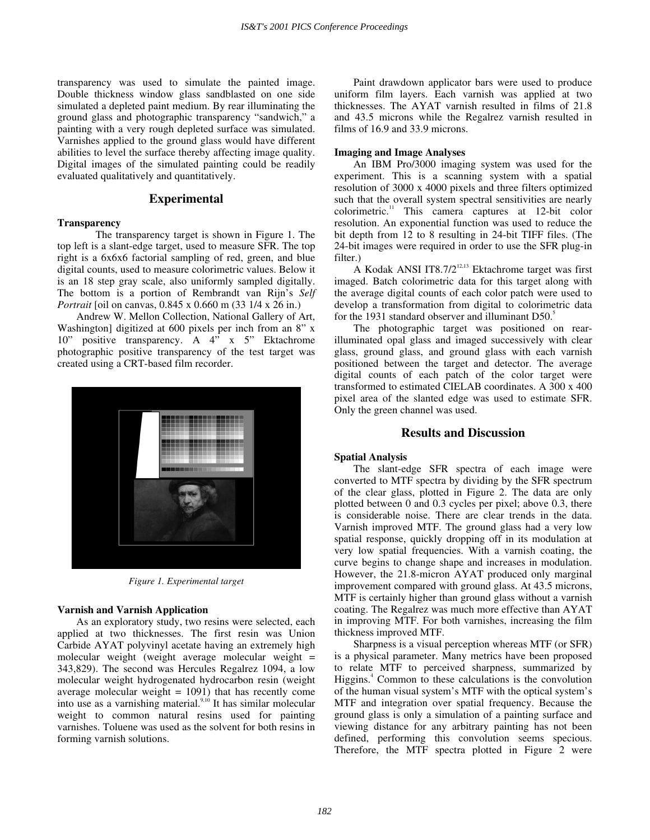transparency was used to simulate the painted image. Double thickness window glass sandblasted on one side simulated a depleted paint medium. By rear illuminating the ground glass and photographic transparency " sandwich," a painting with a very rough depleted surface was simulated. Varnishes applied to the ground glass would have different abilities to level the surface thereby affecting image quality. Digital images of the simulated painting could be readily evaluated qualitatively and quantitatively.

# **Experimental**

#### **Transparency**

 The transparency target is shown in Figure 1. The top left is a slant-edge target, used to measure SFR. The top right is a 6x6x6 factorial sampling of red, green, and blue digital counts, used to measure colorimetric values. Below it is an 18 step gray scale, also uniformly sampled digitally. The bottom is a portion of Rembrandt van Rijn's *Self Portrait* [oil on canvas, 0.845 x 0.660 m (33 1/4 x 26 in.)

Andrew W. Mellon Collection, National Gallery of Art, Washington] digitized at 600 pixels per inch from an 8" x 10" positive transparency. A 4" x 5" Ektachrome photographic positive transparency of the test target was created using a CRT-based film recorder.



*Figure 1. Experimental target* 

#### **Varnish and Varnish Application**

As an exploratory study, two resins were selected, each applied at two thicknesses. The first resin was Union Carbide AYAT polyvinyl acetate having an extremely high molecular weight (weight average molecular weight  $=$ 343,829). The second was Hercules Regalrez 1094, a low molecular weight hydrogenated hydrocarbon resin (weight average molecular weight  $= 1091$ ) that has recently come into use as a varnishing material.<sup>9,10</sup> It has similar molecular weight to common natural resins used for painting varnishes. Toluene was used as the solvent for both resins in forming varnish solutions.

Paint drawdown applicator bars were used to produce uniform film layers. Each varnish was applied at two thicknesses. The AYAT varnish resulted in films of 21.8 and 43.5 microns while the Regalrez varnish resulted in films of 16.9 and 33.9 microns.

#### **Imaging and Image Analyses**

An IBM Pro/3000 imaging system was used for the experiment. This is a scanning system with a spatial resolution of 3000 x 4000 pixels and three filters optimized such that the overall system spectral sensitivities are nearly colorimetric.<sup>11</sup> This camera captures at 12-bit color resolution. An exponential function was used to reduce the bit depth from 12 to 8 resulting in 24-bit TIFF files. (The 24-bit images were required in order to use the SFR plug-in filter.)

A Kodak ANSI IT8.7/2 $^{12,13}$  Ektachrome target was first imaged. Batch colorimetric data for this target along with the average digital counts of each color patch were used to develop a transformation from digital to colorimetric data for the 1931 standard observer and illuminant D50.<sup>5</sup>

The photographic target was positioned on rearilluminated opal glass and imaged successively with clear glass, ground glass, and ground glass with each varnish positioned between the target and detector. The average digital counts of each patch of the color target were transformed to estimated CIELAB coordinates. A 300 x 400 pixel area of the slanted edge was used to estimate SFR. Only the green channel was used.

# **Results and Discussion**

#### **Spatial Analysis**

The slant-edge SFR spectra of each image were converted to MTF spectra by dividing by the SFR spectrum of the clear glass, plotted in Figure 2. The data are only plotted between 0 and 0.3 cycles per pixel; above 0.3, there is considerable noise. There are clear trends in the data. Varnish improved MTF. The ground glass had a very low spatial response, quickly dropping off in its modulation at very low spatial frequencies. With a varnish coating, the curve begins to change shape and increases in modulation. However, the 21.8-micron AYAT produced only marginal improvement compared with ground glass. At 43.5 microns, MTF is certainly higher than ground glass without a varnish coating. The Regalrez was much more effective than AYAT in improving MTF. For both varnishes, increasing the film thickness improved MTF.

Sharpness is a visual perception whereas MTF (or SFR) is a physical parameter. Many metrics have been proposed to relate MTF to perceived sharpness, summarized by Higgins.<sup>4</sup> Common to these calculations is the convolution of the human visual system's MTF with the optical system's MTF and integration over spatial frequency. Because the ground glass is only a simulation of a painting surface and viewing distance for any arbitrary painting has not been defined, performing this convolution seems specious. Therefore, the MTF spectra plotted in Figure 2 were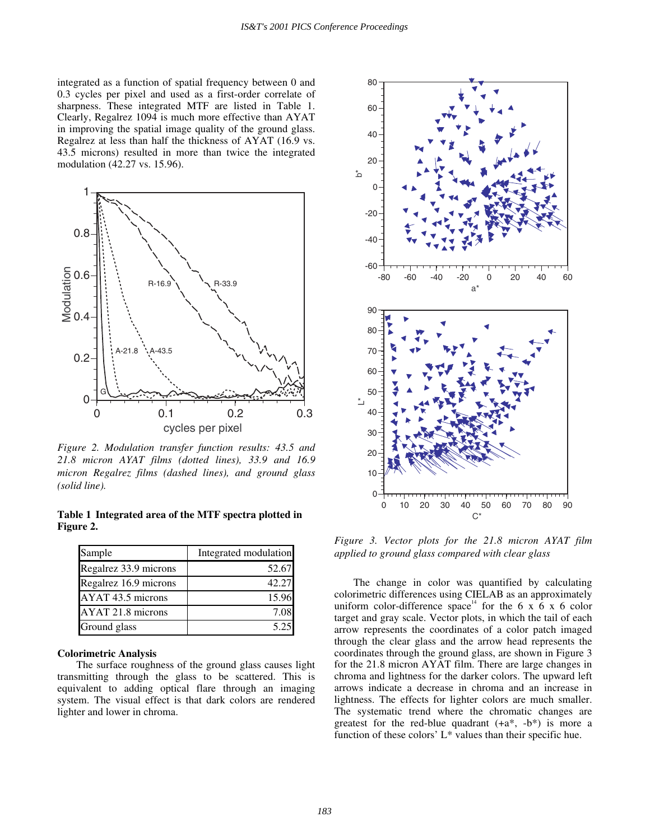integrated as a function of spatial frequency between 0 and 0.3 cycles per pixel and used as a first-order correlate of sharpness. These integrated MTF are listed in Table 1. Clearly, Regalrez 1094 is much more effective than AYAT in improving the spatial image quality of the ground glass. Regalrez at less than half the thickness of AYAT (16.9 vs. 43.5 microns) resulted in more than twice the integrated modulation (42.27 vs. 15.96).



*Figure 2. Modulation transfer function results: 43.5 and 21.8 micron AYAT films (dotted lines), 33.9 and 16.9 micron Regalrez films (dashed lines), and ground glass (solid line).* 

**Table 1 Integrated area of the MTF spectra plotted in Figure 2.** 

| Sample                | Integrated modulation |  |
|-----------------------|-----------------------|--|
| Regalrez 33.9 microns | 52.67                 |  |
| Regalrez 16.9 microns | 42.27                 |  |
| AYAT 43.5 microns     | 15.96                 |  |
| AYAT 21.8 microns     | 7.08                  |  |
| Ground glass          | 5.25                  |  |

## **Colorimetric Analysis**

The surface roughness of the ground glass causes light transmitting through the glass to be scattered. This is equivalent to adding optical flare through an imaging system. The visual effect is that dark colors are rendered lighter and lower in chroma.



*Figure 3. Vector plots for the 21.8 micron AYAT film applied to ground glass compared with clear glass* 

The change in color was quantified by calculating colorimetric differences using CIELAB as an approximately uniform color-difference space<sup>14</sup> for the 6 x 6 x 6 color target and gray scale. Vector plots, in which the tail of each arrow represents the coordinates of a color patch imaged through the clear glass and the arrow head represents the coordinates through the ground glass, are shown in Figure 3 for the 21.8 micron AYAT film. There are large changes in chroma and lightness for the darker colors. The upward left arrows indicate a decrease in chroma and an increase in lightness. The effects for lighter colors are much smaller. The systematic trend where the chromatic changes are greatest for the red-blue quadrant  $(+a^*, -b^*)$  is more a function of these colors'  $L^*$  values than their specific hue.